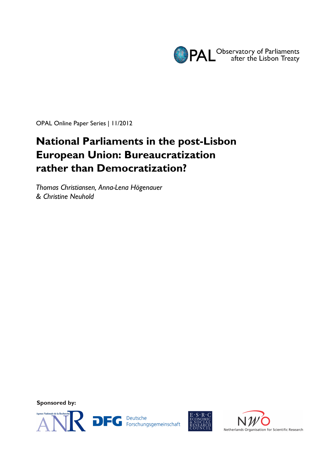

OPAL Online Paper Series | 11/2012

# **National Parliaments in the post-Lisbon European Union: Bureaucratization rather than Democratization?**

*Thomas Christiansen, Anna-Lena Högenauer & Christine Neuhold* 

**Sponsored by:** 





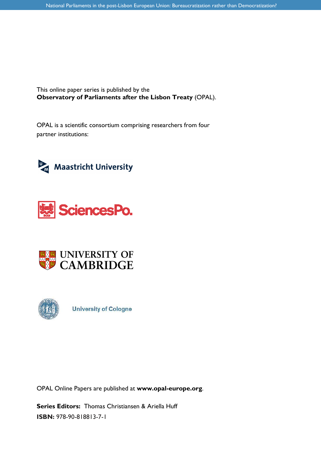This online paper series is published by the **Observatory of Parliaments after the Lisbon Treaty** (OPAL).

OPAL is a scientific consortium comprising researchers from four partner institutions:









**University of Cologne** 

OPAL Online Papers are published at **www.opal-europe.org**.

**Series Editors:** Thomas Christiansen & Ariella Huff **ISBN:** 978-90-818813-7-1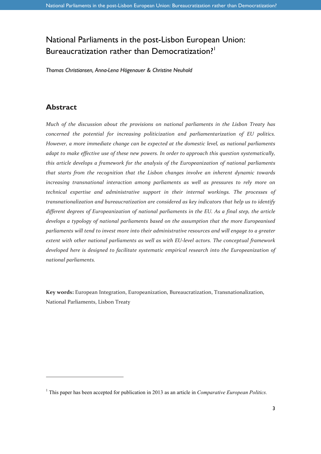## National Parliaments in the post-Lisbon European Union: Bureaucratization rather than Democratization?<sup>1</sup>

*Thomas Christiansen, Anna-Lena Högenauer & Christine Neuhold* 

## **Abstract**

 $\overline{a}$ 

*Much of the discussion about the provisions on national parliaments in the Lisbon Treaty has concerned the potential for increasing politicization and parliamentarization of EU politics. However, a more immediate change can be expected at the domestic level, as national parliaments adapt to make effective use of these new powers. In order to approach this question systematically, this article develops a framework for the analysis of the Europeanization of national parliaments that starts from the recognition that the Lisbon changes involve an inherent dynamic towards increasing transnational interaction among parliaments as well as pressures to rely more on technical expertise and administrative support in their internal workings. The processes of transnationalization and bureaucratization are considered as key indicators that help us to identify different degrees of Europeanization of national parliaments in the EU. As a final step, the article develops a typology of national parliaments based on the assumption that the more Europeanised parliaments will tend to invest more into their administrative resources and will engage to a greater extent with other national parliaments as well as with EU-level actors. The conceptual framework developed here is designed to facilitate systematic empirical research into the Europeanization of national parliaments.*

**Key words:** European Integration, Europeanization, Bureaucratization, Transnationalization, National Parliaments, Lisbon Treaty

<sup>&</sup>lt;sup>1</sup> This paper has been accepted for publication in 2013 as an article in *Comparative European Politics*.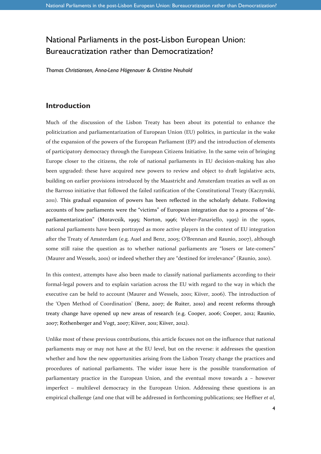## National Parliaments in the post-Lisbon European Union: Bureaucratization rather than Democratization?

*Thomas Christiansen, Anna-Lena Högenauer & Christine Neuhold* 

#### **Introduction**

Much of the discussion of the Lisbon Treaty has been about its potential to enhance the politicization and parliamentarization of European Union (EU) politics, in particular in the wake of the expansion of the powers of the European Parliament (EP) and the introduction of elements of participatory democracy through the European Citizens Initiative. In the same vein of bringing Europe closer to the citizens, the role of national parliaments in EU decision-making has also been upgraded: these have acquired new powers to review and object to draft legislative acts, building on earlier provisions introduced by the Maastricht and Amsterdam treaties as well as on the Barroso initiative that followed the failed ratification of the Constitutional Treaty (Kaczynski, 2011). This gradual expansion of powers has been reflected in the scholarly debate. Following accounts of how parliaments were the "victims" of European integration due to a process of "deparliamentarization" (Moravcsik, 1995; Norton, 1996; Weber-Panariello, 1995) in the 1990s, national parliaments have been portrayed as more active players in the context of EU integration after the Treaty of Amsterdam (e.g. Auel and Benz, 2005; O'Brennan and Raunio, 2007), although some still raise the question as to whether national parliaments are "losers or late-comers" (Maurer and Wessels, 2001) or indeed whether they are "destined for irrelevance" (Raunio, 2010).

In this context, attempts have also been made to classify national parliaments according to their formal-legal powers and to explain variation across the EU with regard to the way in which the executive can be held to account (Maurer and Wessels, 2001; Kiiver, 2006). The introduction of the 'Open Method of Coordination' (Benz, 2007; de Ruiter, 2010) and recent reforms through treaty change have opened up new areas of research (e.g. Cooper, 2006; Cooper, 2012; Raunio, 2007; Rothenberger and Vogt, 2007; Kiiver, 2011; Kiiver, 2012).

Unlike most of these previous contributions, this article focuses not on the influence that national parliaments may or may not have at the EU level, but on the reverse: it addresses the question whether and how the new opportunities arising from the Lisbon Treaty change the practices and procedures of national parliaments. The wider issue here is the possible transformation of parliamentary practice in the European Union, and the eventual move towards a – however imperfect – multilevel democracy in the European Union. Addressing these questions is an empirical challenge (and one that will be addressed in forthcoming publications; see Heffner *et al*,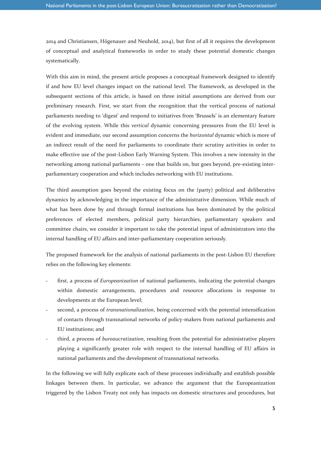2014 and Christiansen, Högenauer and Neuhold, 2014), but first of all it requires the development of conceptual and analytical frameworks in order to study these potential domestic changes systematically.

With this aim in mind, the present article proposes a conceptual framework designed to identify if and how EU level changes impact on the national level. The framework, as developed in the subsequent sections of this article, is based on three initial assumptions are derived from our preliminary research. First, we start from the recognition that the vertical process of national parliaments needing to 'digest' and respond to initiatives from 'Brussels' is an elementary feature of the evolving system. While this *vertical* dynamic concerning pressures from the EU level is evident and immediate, our second assumption concerns the *horizontal* dynamic which is more of an indirect result of the need for parliaments to coordinate their scrutiny activities in order to make effective use of the post-Lisbon Early Warning System. This involves a new intensity in the networking among national parliaments – one that builds on, but goes beyond, pre-existing interparliamentary cooperation and which includes networking with EU institutions.

The third assumption goes beyond the existing focus on the (party) political and deliberative dynamics by acknowledging in the importance of the administrative dimension. While much of what has been done by and through formal institutions has been dominated by the political preferences of elected members, political party hierarchies, parliamentary speakers and committee chairs, we consider it important to take the potential input of administrators into the internal handling of EU affairs and inter-parliamentary cooperation seriously.

The proposed framework for the analysis of national parliaments in the post-Lisbon EU therefore relies on the following key elements:

- first, a process of *Europeanization* of national parliaments, indicating the potential changes within domestic arrangements, procedures and resource allocations in response to developments at the European level;
- second, a process of *transnationalization*, being concerned with the potential intensification of contacts through transnational networks of policy-makers from national parliaments and EU institutions; and
- third, a process of *bureaucratization*, resulting from the potential for administrative players playing a significantly greater role with respect to the internal handling of EU affairs in national parliaments and the development of transnational networks.

In the following we will fully explicate each of these processes individually and establish possible linkages between them. In particular, we advance the argument that the Europeanization triggered by the Lisbon Treaty not only has impacts on domestic structures and procedures, but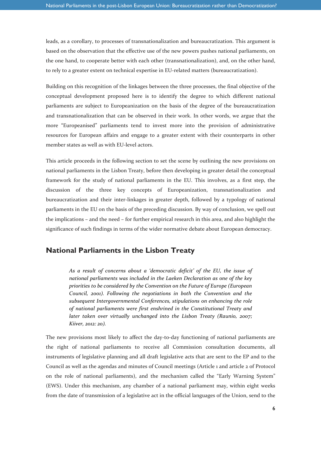leads, as a corollary, to processes of transnationalization and bureaucratization. This argument is based on the observation that the effective use of the new powers pushes national parliaments, on the one hand, to cooperate better with each other (transnationalization), and, on the other hand, to rely to a greater extent on technical expertise in EU-related matters (bureaucratization).

Building on this recognition of the linkages between the three processes, the final objective of the conceptual development proposed here is to identify the degree to which different national parliaments are subject to Europeanization on the basis of the degree of the bureaucratization and transnationalization that can be observed in their work. In other words, we argue that the more "Europeanised" parliaments tend to invest more into the provision of administrative resources for European affairs and engage to a greater extent with their counterparts in other member states as well as with EU-level actors.

This article proceeds in the following section to set the scene by outlining the new provisions on national parliaments in the Lisbon Treaty, before then developing in greater detail the conceptual framework for the study of national parliaments in the EU. This involves, as a first step, the discussion of the three key concepts of Europeanization, transnationalization and bureaucratization and their inter-linkages in greater depth, followed by a typology of national parliaments in the EU on the basis of the preceding discussion. By way of conclusion, we spell out the implications – and the need – for further empirical research in this area, and also highlight the significance of such findings in terms of the wider normative debate about European democracy.

#### **National Parliaments in the Lisbon Treaty**

*As a result of concerns about a 'democratic deficit' of the EU, the issue of national parliaments was included in the Laeken Declaration as one of the key priorities to be considered by the Convention on the Future of Europe (European Council, 2001). Following the negotiations in both the Convention and the subsequent Intergovernmental Conferences, stipulations on enhancing the role of national parliaments were first enshrined in the Constitutional Treaty and later taken over virtually unchanged into the Lisbon Treaty (Raunio, 2007; Kiiver, 2012: 20).* 

The new provisions most likely to affect the day-to-day functioning of national parliaments are the right of national parliaments to receive all Commission consultation documents, all instruments of legislative planning and all draft legislative acts that are sent to the EP and to the Council as well as the agendas and minutes of Council meetings (Article 1 and article 2 of Protocol on the role of national parliaments), and the mechanism called the "Early Warning System" (EWS). Under this mechanism, any chamber of a national parliament may, within eight weeks from the date of transmission of a legislative act in the official languages of the Union, send to the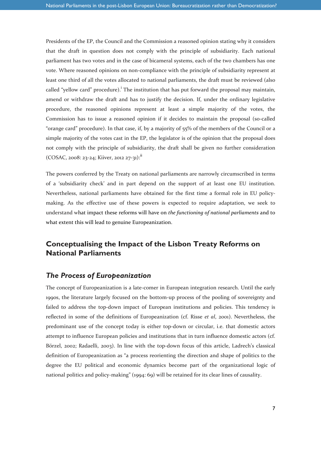Presidents of the EP, the Council and the Commission a reasoned opinion stating why it considers that the draft in question does not comply with the principle of subsidiarity. Each national parliament has two votes and in the case of bicameral systems, each of the two chambers has one vote. Where reasoned opinions on non-compliance with the principle of subsidiarity represent at least one third of all the votes allocated to national parliaments, the draft must be reviewed (also called "yellow card" procedure).<sup>i</sup> The institution that has put forward the proposal may maintain, amend or withdraw the draft and has to justify the decision. If, under the ordinary legislative procedure, the reasoned opinions represent at least a simple majority of the votes, the Commission has to issue a reasoned opinion if it decides to maintain the proposal (so-called "orange card" procedure). In that case, if, by a majority of 55% of the members of the Council or a simple majority of the votes cast in the EP, the legislator is of the opinion that the proposal does not comply with the principle of subsidiarity, the draft shall be given no further consideration  $(COSAC, 2008: 23-24;$  Kiiver, 2012 27-31):<sup>ii</sup>

The powers conferred by the Treaty on national parliaments are narrowly circumscribed in terms of a 'subsidiarity check' and in part depend on the support of at least one EU institution. Nevertheless, national parliaments have obtained for the first time a formal role in EU policymaking. As the effective use of these powers is expected to require adaptation, we seek to understand what impact these reforms will have on *the functioning of national parliaments* and to what extent this will lead to genuine Europeanization.

## **Conceptualising the Impact of the Lisbon Treaty Reforms on National Parliaments**

#### *The Process of Europeanization*

The concept of Europeanization is a late-comer in European integration research. Until the early 1990s, the literature largely focused on the bottom-up process of the pooling of sovereignty and failed to address the top-down impact of European institutions and policies. This tendency is reflected in some of the definitions of Europeanization (cf. Risse *et al*, 2001). Nevertheless, the predominant use of the concept today is either top-down or circular, i.e. that domestic actors attempt to influence European policies and institutions that in turn influence domestic actors (cf. Börzel, 2002; Radaelli, 2003). In line with the top-down focus of this article, Ladrech's classical definition of Europeanization as "a process reorienting the direction and shape of politics to the degree the EU political and economic dynamics become part of the organizational logic of national politics and policy-making" (1994: 69) will be retained for its clear lines of causality.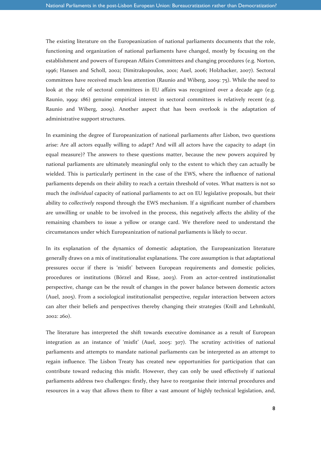The existing literature on the Europeanization of national parliaments documents that the role, functioning and organization of national parliaments have changed, mostly by focusing on the establishment and powers of European Affairs Committees and changing procedures (e.g. Norton, 1996; Hansen and Scholl, 2002; Dimitrakopoulos, 2001; Auel, 2006; Holzhacker, 2007). Sectoral committees have received much less attention (Raunio and Wiberg, 2009: 75). While the need to look at the role of sectoral committees in EU affairs was recognized over a decade ago (e.g. Raunio, 1999: 186) genuine empirical interest in sectoral committees is relatively recent (e.g. Raunio and Wiberg, 2009). Another aspect that has been overlook is the adaptation of administrative support structures.

In examining the degree of Europeanization of national parliaments after Lisbon, two questions arise: Are all actors equally willing to adapt? And will all actors have the capacity to adapt (in equal measure)? The answers to these questions matter, because the new powers acquired by national parliaments are ultimately meaningful only to the extent to which they can actually be wielded. This is particularly pertinent in the case of the EWS, where the influence of national parliaments depends on their ability to reach a certain threshold of votes. What matters is not so much the *individual* capacity of national parliaments to act on EU legislative proposals, but their ability to *collectively* respond through the EWS mechanism. If a significant number of chambers are unwilling or unable to be involved in the process, this negatively affects the ability of the remaining chambers to issue a yellow or orange card. We therefore need to understand the circumstances under which Europeanization of national parliaments is likely to occur.

In its explanation of the dynamics of domestic adaptation, the Europeanization literature generally draws on a mix of institutionalist explanations. The core assumption is that adaptational pressures occur if there is 'misfit' between European requirements and domestic policies, procedures or institutions (Börzel and Risse, 2003). From an actor-centred institutionalist perspective, change can be the result of changes in the power balance between domestic actors (Auel, 2005). From a sociological institutionalist perspective, regular interaction between actors can alter their beliefs and perspectives thereby changing their strategies (Knill and Lehmkuhl, 2002: 260).

The literature has interpreted the shift towards executive dominance as a result of European integration as an instance of 'misfit' (Auel, 2005: 307). The scrutiny activities of national parliaments and attempts to mandate national parliaments can be interpreted as an attempt to regain influence. The Lisbon Treaty has created new opportunities for participation that can contribute toward reducing this misfit. However, they can only be used effectively if national parliaments address two challenges: firstly, they have to reorganise their internal procedures and resources in a way that allows them to filter a vast amount of highly technical legislation, and,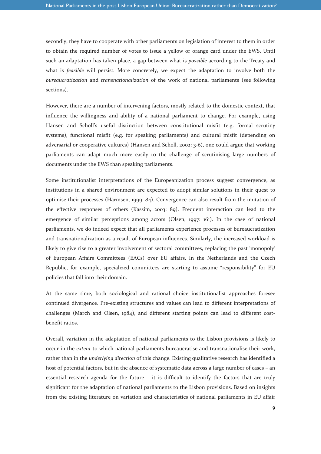secondly, they have to cooperate with other parliaments on legislation of interest to them in order to obtain the required number of votes to issue a yellow or orange card under the EWS. Until such an adaptation has taken place, a gap between what is *possible* according to the Treaty and what is *feasible* will persist*.* More concretely, we expect the adaptation to involve both the *bureaucratization* and *transnationalization* of the work of national parliaments (see following sections).

However, there are a number of intervening factors, mostly related to the domestic context, that influence the willingness and ability of a national parliament to change. For example, using Hansen and Scholl's useful distinction between constitutional misfit (e.g. formal scrutiny systems), functional misfit (e.g. for speaking parliaments) and cultural misfit (depending on adversarial or cooperative cultures) (Hansen and Scholl, 2002: 3-6), one could argue that working parliaments can adapt much more easily to the challenge of scrutinising large numbers of documents under the EWS than speaking parliaments.

Some institutionalist interpretations of the Europeanization process suggest convergence, as institutions in a shared environment are expected to adopt similar solutions in their quest to optimise their processes (Harmsen, 1999: 84). Convergence can also result from the imitation of the effective responses of others (Kassim, 2003: 89). Frequent interaction can lead to the emergence of similar perceptions among actors (Olsen, 1997: 161). In the case of national parliaments, we do indeed expect that all parliaments experience processes of bureaucratization and transnationalization as a result of European influences. Similarly, the increased workload is likely to give rise to a greater involvement of sectoral committees, replacing the past 'monopoly' of European Affairs Committees (EACs) over EU affairs. In the Netherlands and the Czech Republic, for example, specialized committees are starting to assume "responsibility" for EU policies that fall into their domain.

At the same time, both sociological and rational choice institutionalist approaches foresee continued divergence. Pre-existing structures and values can lead to different interpretations of challenges (March and Olsen, 1984), and different starting points can lead to different costbenefit ratios.

Overall, variation in the adaptation of national parliaments to the Lisbon provisions is likely to occur in the *extent* to which national parliaments bureaucratise and transnationalise their work, rather than in the *underlying direction* of this change. Existing qualitative research has identified a host of potential factors, but in the absence of systematic data across a large number of cases – an essential research agenda for the future – it is difficult to identify the factors that are truly significant for the adaptation of national parliaments to the Lisbon provisions. Based on insights from the existing literature on variation and characteristics of national parliaments in EU affair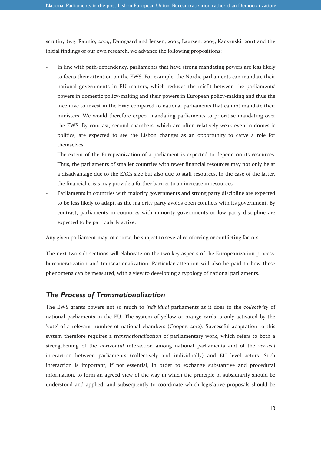scrutiny (e.g. Raunio, 2009; Damgaard and Jensen, 2005; Laursen, 2005; Kaczynski, 2011) and the initial findings of our own research, we advance the following propositions:

- In line with path-dependency, parliaments that have strong mandating powers are less likely to focus their attention on the EWS. For example, the Nordic parliaments can mandate their national governments in EU matters, which reduces the misfit between the parliaments' powers in domestic policy-making and their powers in European policy-making and thus the incentive to invest in the EWS compared to national parliaments that cannot mandate their ministers. We would therefore expect mandating parliaments to prioritise mandating over the EWS. By contrast, second chambers, which are often relatively weak even in domestic politics, are expected to see the Lisbon changes as an opportunity to carve a role for themselves.
- The extent of the Europeanization of a parliament is expected to depend on its resources. Thus, the parliaments of smaller countries with fewer financial resources may not only be at a disadvantage due to the EACs size but also due to staff resources. In the case of the latter, the financial crisis may provide a further barrier to an increase in resources.
- Parliaments in countries with majority governments and strong party discipline are expected to be less likely to adapt, as the majority party avoids open conflicts with its government. By contrast, parliaments in countries with minority governments or low party discipline are expected to be particularly active.

Any given parliament may, of course, be subject to several reinforcing or conflicting factors.

The next two sub-sections will elaborate on the two key aspects of the Europeanization process: bureaucratization and transnationalization. Particular attention will also be paid to how these phenomena can be measured, with a view to developing a typology of national parliaments.

#### *The Process of Transnationalization*

The EWS grants powers not so much to *individual* parliaments as it does to the *collectivity* of national parliaments in the EU. The system of yellow or orange cards is only activated by the 'vote' of a relevant number of national chambers (Cooper, 2012). Successful adaptation to this system therefore requires a *transnationalization* of parliamentary work, which refers to both a strengthening of the *horizontal* interaction among national parliaments and of the *vertical* interaction between parliaments (collectively and individually) and EU level actors. Such interaction is important, if not essential, in order to exchange substantive and procedural information, to form an agreed view of the way in which the principle of subsidiarity should be understood and applied, and subsequently to coordinate which legislative proposals should be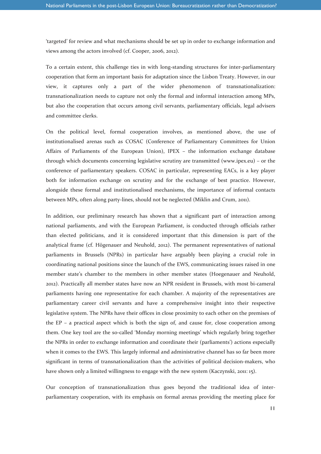'targeted' for review and what mechanisms should be set up in order to exchange information and views among the actors involved (cf. Cooper, 2006, 2012).

To a certain extent, this challenge ties in with long-standing structures for inter-parliamentary cooperation that form an important basis for adaptation since the Lisbon Treaty. However, in our view, it captures only a part of the wider phenomenon of transnationalization: transnationalization needs to capture not only the formal and informal interaction among MPs, but also the cooperation that occurs among civil servants, parliamentary officials, legal advisers and committee clerks.

On the political level, formal cooperation involves, as mentioned above, the use of institutionalised arenas such as COSAC (Conference of Parliamentary Committees for Union Affairs of Parliaments of the European Union), IPEX – the information exchange database through which documents concerning legislative scrutiny are transmitted (www.ipex.eu) – or the conference of parliamentary speakers. COSAC in particular, representing EACs, is a key player both for information exchange on scrutiny and for the exchange of best practice. However, alongside these formal and institutionalised mechanisms, the importance of informal contacts between MPs, often along party-lines, should not be neglected (Miklin and Crum, 2011).

In addition, our preliminary research has shown that a significant part of interaction among national parliaments, and with the European Parliament, is conducted through officials rather than elected politicians, and it is considered important that this dimension is part of the analytical frame (cf. Högenauer and Neuhold, 2012). The permanent representatives of national parliaments in Brussels (NPRs) in particular have arguably been playing a crucial role in coordinating national positions since the launch of the EWS, communicating issues raised in one member state's chamber to the members in other member states (Hoegenauer and Neuhold, 2012). Practically all member states have now an NPR resident in Brussels, with most bi-cameral parliaments having one representative for each chamber. A majority of the representatives are parliamentary career civil servants and have a comprehensive insight into their respective legislative system. The NPRs have their offices in close proximity to each other on the premises of the EP – a practical aspect which is both the sign of, and cause for, close cooperation among them. One key tool are the so-called 'Monday morning meetings' which regularly bring together the NPRs in order to exchange information and coordinate their (parliaments') actions especially when it comes to the EWS. This largely informal and administrative channel has so far been more significant in terms of transnationalization than the activities of political decision-makers, who have shown only a limited willingness to engage with the new system (Kaczynski, 2011: 15).

Our conception of transnationalization thus goes beyond the traditional idea of interparliamentary cooperation, with its emphasis on formal arenas providing the meeting place for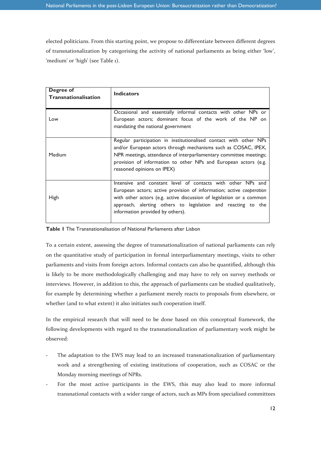elected politicians. From this starting point, we propose to differentiate between different degrees of transnationalization by categorising the activity of national parliaments as being either 'low', 'medium' or 'high' (see Table 1).

| Degree of<br><b>Transnationalisation</b> | <b>Indicators</b>                                                                                                                                                                                                                                                                                               |
|------------------------------------------|-----------------------------------------------------------------------------------------------------------------------------------------------------------------------------------------------------------------------------------------------------------------------------------------------------------------|
| Low                                      | Occasional and essentially informal contacts with other NPs or<br>European actors; dominant focus of the work of the NP on<br>mandating the national government                                                                                                                                                 |
| Medium                                   | Regular participation in institutionalised contact with other NPs<br>and/or European actors through mechanisms such as COSAC, IPEX,<br>NPR meetings, attendance of interparliamentary committee meetings;<br>provision of information to other NPs and European actors (e.g.<br>reasoned opinions on IPEX)      |
| High                                     | Intensive and constant level of contacts with other NPs and<br>European actors; active provision of information; active cooperation<br>with other actors (e.g. active discussion of legislation or a common<br>approach, alerting others to legislation and reacting to the<br>information provided by others). |

**Table 1** The Transnationalisation of National Parliaments after Lisbon

To a certain extent, assessing the degree of transnationalization of national parliaments can rely on the quantitative study of participation in formal interparliamentary meetings, visits to other parliaments and visits from foreign actors. Informal contacts can also be quantified, although this is likely to be more methodologically challenging and may have to rely on survey methods or interviews. However, in addition to this, the approach of parliaments can be studied qualitatively, for example by determining whether a parliament merely reacts to proposals from elsewhere, or whether (and to what extent) it also initiates such cooperation itself.

In the empirical research that will need to be done based on this conceptual framework, the following developments with regard to the transnationalization of parliamentary work might be observed:

- The adaptation to the EWS may lead to an increased transnationalization of parliamentary work and a strengthening of existing institutions of cooperation, such as COSAC or the Monday morning meetings of NPRs.
- For the most active participants in the EWS, this may also lead to more informal transnational contacts with a wider range of actors, such as MPs from specialised committees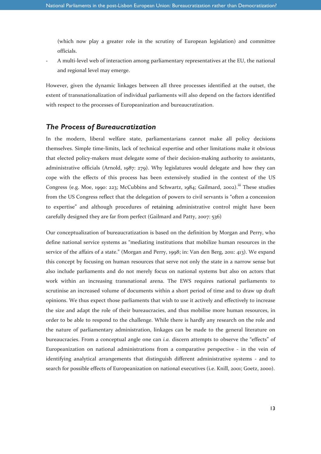(which now play a greater role in the scrutiny of European legislation) and committee officials.

- A multi-level web of interaction among parliamentary representatives at the EU, the national and regional level may emerge.

However, given the dynamic linkages between all three processes identified at the outset, the extent of transnationalization of individual parliaments will also depend on the factors identified with respect to the processes of Europeanization and bureaucratization.

#### *The Process of Bureaucratization*

In the modern, liberal welfare state, parliamentarians cannot make all policy decisions themselves. Simple time-limits, lack of technical expertise and other limitations make it obvious that elected policy-makers must delegate some of their decision-making authority to assistants, administrative officials (Arnold, 1987: 279). Why legislatures would delegate and how they can cope with the effects of this process has been extensively studied in the context of the US Congress (e.g. Moe, 1990: 223; McCubbins and Schwartz, 1984; Gailmard, 2002).<sup>iii</sup> These studies from the US Congress reflect that the delegation of powers to civil servants is "often a concession to expertise" and although procedures of retaining administrative control might have been carefully designed they are far from perfect (Gailmard and Patty, 2007: 536)

Our conceptualization of bureaucratization is based on the definition by Morgan and Perry, who define national service systems as "mediating institutions that mobilize human resources in the service of the affairs of a state." (Morgan and Perry, 1998; in: Van den Berg, 2011: 413). We expand this concept by focusing on human resources that serve not only the state in a narrow sense but also include parliaments and do not merely focus on national systems but also on actors that work within an increasing transnational arena. The EWS requires national parliaments to scrutinise an increased volume of documents within a short period of time and to draw up draft opinions. We thus expect those parliaments that wish to use it actively and effectively to increase the size and adapt the role of their bureaucracies, and thus mobilise more human resources, in order to be able to respond to the challenge. While there is hardly any research on the role and the nature of parliamentary administration, linkages can be made to the general literature on bureaucracies. From a conceptual angle one can *i.a.* discern attempts to observe the "effects" of Europeanization on national administrations from a comparative perspective - in the vein of identifying analytical arrangements that distinguish different administrative systems - and to search for possible effects of Europeanization on national executives (i.e. Knill, 2001; Goetz, 2000).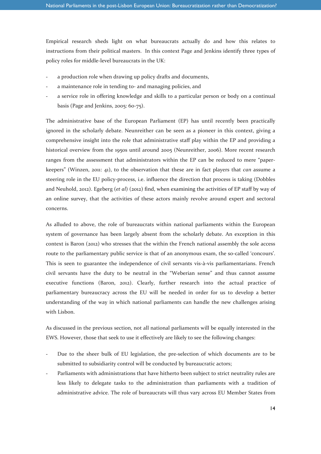Empirical research sheds light on what bureaucrats actually do and how this relates to instructions from their political masters. In this context Page and Jenkins identify three types of policy roles for middle-level bureaucrats in the UK:

- a production role when drawing up policy drafts and documents,
- a maintenance role in tending to- and managing policies, and
- a service role in offering knowledge and skills to a particular person or body on a continual basis (Page and Jenkins, 2005: 60-75).

The administrative base of the European Parliament (EP) has until recently been practically ignored in the scholarly debate. Neunreither can be seen as a pioneer in this context, giving a comprehensive insight into the role that administrative staff play within the EP and providing a historical overview from the 1950s until around 2005 (Neunreither, 2006). More recent research ranges from the assessment that administrators within the EP can be reduced to mere "paperkeepers" (Winzen, 2011: 41), to the observation that these are in fact players that *can* assume a steering role in the EU policy-process, i.e. influence the direction that process is taking (Dobbles and Neuhold, 2012). Egeberg (*et al*) (2012) find, when examining the activities of EP staff by way of an online survey, that the activities of these actors mainly revolve around expert and sectoral concerns.

As alluded to above, the role of bureaucrats within national parliaments within the European system of governance has been largely absent from the scholarly debate. An exception in this context is Baron (2012) who stresses that the within the French national assembly the sole access route to the parliamentary public service is that of an anonymous exam, the so-called 'concours'. This is seen to guarantee the independence of civil servants vis-à-vis parliamentarians. French civil servants have the duty to be neutral in the "Weberian sense" and thus cannot assume executive functions (Baron, 2012). Clearly, further research into the actual practice of parliamentary bureaucracy across the EU will be needed in order for us to develop a better understanding of the way in which national parliaments can handle the new challenges arising with Lisbon.

As discussed in the previous section, not all national parliaments will be equally interested in the EWS. However, those that seek to use it effectively are likely to see the following changes:

- Due to the sheer bulk of EU legislation, the pre-selection of which documents are to be submitted to subsidiarity control will be conducted by bureaucratic actors;
- Parliaments with administrations that have hitherto been subject to strict neutrality rules are less likely to delegate tasks to the administration than parliaments with a tradition of administrative advice. The role of bureaucrats will thus vary across EU Member States from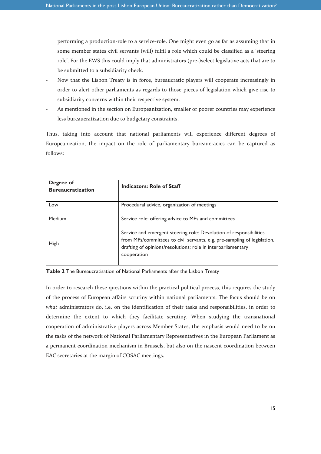performing a production-role to a service-role. One might even go as far as assuming that in some member states civil servants (will) fulfil a role which could be classified as a 'steering role'. For the EWS this could imply that administrators (pre-)select legislative acts that are to be submitted to a subsidiarity check.

- Now that the Lisbon Treaty is in force, bureaucratic players will cooperate increasingly in order to alert other parliaments as regards to those pieces of legislation which give rise to subsidiarity concerns within their respective system.
- As mentioned in the section on Europeanization, smaller or poorer countries may experience less bureaucratization due to budgetary constraints.

Thus, taking into account that national parliaments will experience different degrees of Europeanization, the impact on the role of parliamentary bureaucracies can be captured as follows:

| Degree of<br><b>Bureaucratization</b> | <b>Indicators: Role of Staff</b>                                                                                                                                                                                              |
|---------------------------------------|-------------------------------------------------------------------------------------------------------------------------------------------------------------------------------------------------------------------------------|
| Low                                   | Procedural advice, organization of meetings                                                                                                                                                                                   |
| Medium                                | Service role: offering advice to MPs and committees                                                                                                                                                                           |
| High                                  | Service and emergent steering role: Devolution of responsibilities<br>from MPs/committees to civil servants, e.g. pre-sampling of legislation,<br>drafting of opinions/resolutions; role in interparliamentary<br>cooperation |

**Table 2** The Bureaucratisation of National Parliaments after the Lisbon Treaty

In order to research these questions within the practical political process, this requires the study of the process of European affairs scrutiny within national parliaments. The focus should be on *what* administrators do, i.e. on the identification of their tasks and responsibilities, in order to determine the extent to which they facilitate scrutiny. When studying the transnational cooperation of administrative players across Member States, the emphasis would need to be on the tasks of the network of National Parliamentary Representatives in the European Parliament as a permanent coordination mechanism in Brussels, but also on the nascent coordination between EAC secretaries at the margin of COSAC meetings.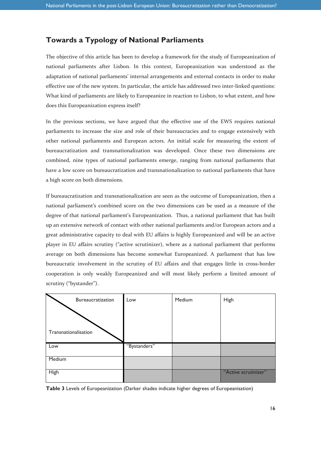## **Towards a Typology of National Parliaments**

The objective of this article has been to develop a framework for the study of Europeanization of national parliaments after Lisbon. In this context, Europeanization was understood as the adaptation of national parliaments' internal arrangements and external contacts in order to make effective use of the new system. In particular, the article has addressed two inter-linked questions: What kind of parliaments are likely to Europeanize in reaction to Lisbon, to what extent, and how does this Europeanization express itself?

In the previous sections, we have argued that the effective use of the EWS requires national parliaments to increase the size and role of their bureaucracies and to engage extensively with other national parliaments and European actors. An initial scale for measuring the extent of bureaucratization and transnationalization was developed. Once these two dimensions are combined, nine types of national parliaments emerge, ranging from national parliaments that have a low score on bureaucratization and transnationalization to national parliaments that have a high score on both dimensions.

If bureaucratization and transnationalization are seen as the outcome of Europeanization, then a national parliament's combined score on the two dimensions can be used as a measure of the degree of that national parliament's Europeanization. Thus, a national parliament that has built up an extensive network of contact with other national parliaments and/or European actors and a great administrative capacity to deal with EU affairs is highly Europeanized and will be an active player in EU affairs scrutiny ("active scrutinizer), where as a national parliament that performs average on both dimensions has become somewhat Europeanized. A parliament that has low bureaucratic involvement in the scrutiny of EU affairs and that engages little in cross-border cooperation is only weakly Europeanized and will most likely perform a limited amount of scrutiny ("bystander").

|                      | Bureaucratization | Low          | Medium | <b>High</b>          |
|----------------------|-------------------|--------------|--------|----------------------|
|                      |                   |              |        |                      |
| Transnationalisation |                   |              |        |                      |
|                      |                   |              |        |                      |
| Low                  |                   | "Bystanders" |        |                      |
| Medium               |                   |              |        |                      |
| High                 |                   |              |        | "Active scrutinizer" |

**Table 3** Levels of Europeanization (Darker shades indicate higher degrees of Europeanisation)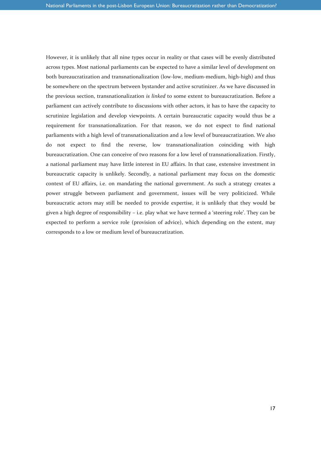However, it is unlikely that all nine types occur in reality or that cases will be evenly distributed across types. Most national parliaments can be expected to have a similar level of development on both bureaucratization and transnationalization (low-low, medium-medium, high-high) and thus be somewhere on the spectrum between bystander and active scrutinizer. As we have discussed in the previous section, transnationalization *is linked* to some extent to bureaucratization. Before a parliament can actively contribute to discussions with other actors, it has to have the capacity to scrutinize legislation and develop viewpoints. A certain bureaucratic capacity would thus be a requirement for transnationalization. For that reason, we do not expect to find national parliaments with a high level of transnationalization and a low level of bureaucratization. We also do not expect to find the reverse, low transnationalization coinciding with high bureaucratization. One can conceive of two reasons for a low level of transnationalization. Firstly, a national parliament may have little interest in EU affairs. In that case, extensive investment in bureaucratic capacity is unlikely. Secondly, a national parliament may focus on the domestic context of EU affairs, i.e. on mandating the national government. As such a strategy creates a power struggle between parliament and government, issues will be very politicized. While bureaucratic actors may still be needed to provide expertise, it is unlikely that they would be given a high degree of responsibility – i.e. play what we have termed a 'steering role'. They can be expected to perform a service role (provision of advice), which depending on the extent, may corresponds to a low or medium level of bureaucratization.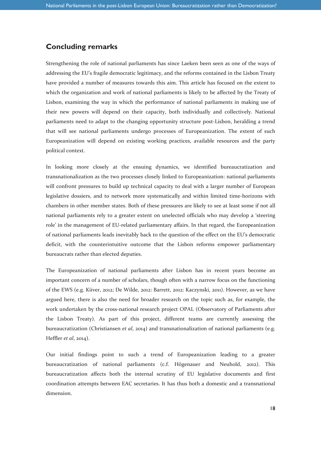### **Concluding remarks**

Strengthening the role of national parliaments has since Laeken been seen as one of the ways of addressing the EU's fragile democratic legitimacy, and the reforms contained in the Lisbon Treaty have provided a number of measures towards this aim. This article has focused on the extent to which the organization and work of national parliaments is likely to be affected by the Treaty of Lisbon, examining the way in which the performance of national parliaments in making use of their new powers will depend on their capacity, both individually and collectively. National parliaments need to adapt to the changing opportunity structure post-Lisbon, heralding a trend that will see national parliaments undergo processes of Europeanization. The extent of such Europeanization will depend on existing working practices, available resources and the party political context.

In looking more closely at the ensuing dynamics, we identified bureaucratization and transnationalization as the two processes closely linked to Europeanization: national parliaments will confront pressures to build up technical capacity to deal with a larger number of European legislative dossiers, and to network more systematically and within limited time-horizons with chambers in other member states. Both of these pressures are likely to see at least some if not all national parliaments rely to a greater extent on unelected officials who may develop a 'steering role' in the management of EU-related parliamentary affairs. In that regard, the Europeanization of national parliaments leads inevitably back to the question of the effect on the EU's democratic deficit, with the counterintuitive outcome that the Lisbon reforms empower parliamentary bureaucrats rather than elected deputies.

The Europeanization of national parliaments after Lisbon has in recent years become an important concern of a number of scholars, though often with a narrow focus on the functioning of the EWS (e.g. Kiiver, 2012; De Wilde, 2012: Barrett, 2012: Kaczynski, 2011). However, as we have argued here, there is also the need for broader research on the topic such as, for example, the work undertaken by the cross-national research project OPAL (Observatory of Parliaments after the Lisbon Treaty). As part of this project, different teams are currently assessing the bureaucratization (Christiansen *et al*, 2014) and transnationalization of national parliaments (e.g. Heffler *et al*, 2014).

Our initial findings point to such a trend of Europeanization leading to a greater bureaucratization of national parliaments (c.f. Högenauer and Neuhold, 2012). This bureaucratization affects both the internal scrutiny of EU legislative documents and first coordination attempts between EAC secretaries. It has thus both a domestic and a transnational dimension.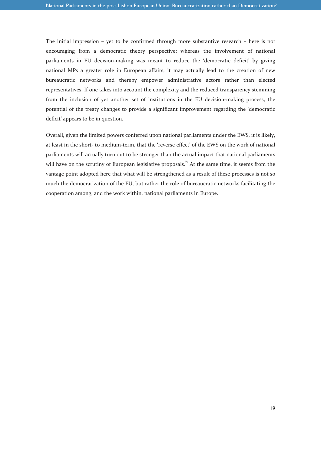The initial impression – yet to be confirmed through more substantive research – here is not encouraging from a democratic theory perspective: whereas the involvement of national parliaments in EU decision-making was meant to reduce the 'democratic deficit' by giving national MPs a greater role in European affairs, it may actually lead to the creation of new bureaucratic networks and thereby empower administrative actors rather than elected representatives. If one takes into account the complexity and the reduced transparency stemming from the inclusion of yet another set of institutions in the EU decision-making process, the potential of the treaty changes to provide a significant improvement regarding the 'democratic deficit' appears to be in question.

Overall, given the limited powers conferred upon national parliaments under the EWS, it is likely, at least in the short- to medium-term, that the 'reverse effect' of the EWS on the work of national parliaments will actually turn out to be stronger than the actual impact that national parliaments will have on the scrutiny of European legislative proposals.<sup>iv</sup> At the same time, it seems from the vantage point adopted here that what will be strengthened as a result of these processes is not so much the democratization of the EU, but rather the role of bureaucratic networks facilitating the cooperation among, and the work within, national parliaments in Europe.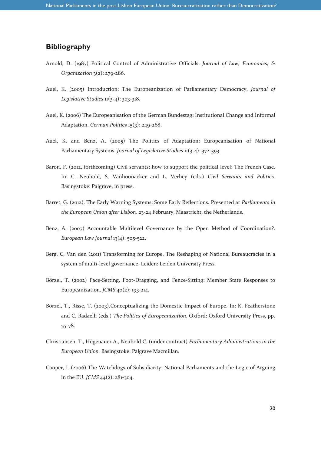## **Bibliography**

- Arnold, D. (1987) Political Control of Administrative Officials. *Journal of Law, Economics, & Organization* 3(2): 279-286.
- Auel, K. (2005) Introduction: The Europeanization of Parliamentary Democracy. *Journal of Legislative Studies* 11(3-4): 303-318.
- Auel, K. (2006) The Europeanisation of the German Bundestag: Institutional Change and Informal Adaptation. *German Politics* 15(3): 249-268.
- Auel, K. and Benz, A. (2005) The Politics of Adaptation: Europeanisation of National Parliamentary Systems. *Journal of Legislative Studies* 11(3-4): 372-393.
- Baron, F. (2012, forthcoming) Civil servants: how to support the political level: The French Case. In: C. Neuhold, S. Vanhoonacker and L. Verhey (eds.) *Civil Servants and Politics.* Basingstoke: Palgrave, in press.
- Barret, G. (2012). The Early Warning Systems: Some Early Reflections. Presented at *Parliaments in the European Union after Lisbon.* 23-24 February, Maastricht, the Netherlands.
- Benz, A. (2007) Accountable Multilevel Governance by the Open Method of Coordination?. *European Law Journal* 13(4): 505-522.
- Berg, C, Van den (2011) Transforming for Europe. The Reshaping of National Bureaucracies in a system of multi-level governance, Leiden: Leiden University Press.
- Börzel, T. (2002) Pace-Setting, Foot-Dragging, and Fence-Sitting: Member State Responses to Europeanization. *JCMS* 40(2): 193-214.
- Börzel, T., Risse, T. (2003).Conceptualizing the Domestic Impact of Europe. In: K. Featherstone and C. Radaelli (eds.) *The Politics of Europeanization*. Oxford: Oxford University Press, pp. 55-78.
- Christiansen, T., Högenauer A., Neuhold C. (under contract) *Parliamentary Administrations in the European Union.* Basingstoke: Palgrave Macmillan.
- Cooper, I. (2006) The Watchdogs of Subsidiarity: National Parliaments and the Logic of Arguing in the EU. *JCMS* 44(2): 281-304.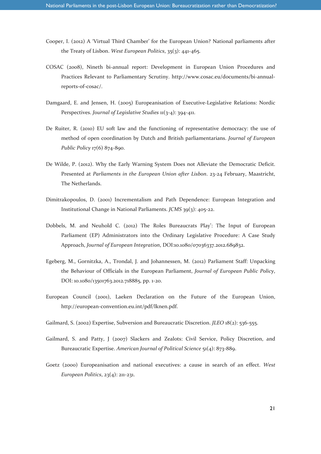- Cooper, I. (2012) A 'Virtual Third Chamber' for the European Union? National parliaments after the Treaty of Lisbon. *West European Politics*, 35(3): 441-465.
- COSAC (2008), Nineth bi-annual report: Development in European Union Procedures and Practices Relevant to Parliamentary Scrutiny. http://www.cosac.eu/documents/bi-annualreports-of-cosac/.
- Damgaard, E. and Jensen, H. (2005) Europeanisation of Executive-Legislative Relations: Nordic Perspectives. *Journal of Legislative Studies* 11(3-4): 394-411.
- De Ruiter, R. (2010) EU soft law and the functioning of representative democracy: the use of method of open coordination by Dutch and British parliamentarians. *Journal of European Public Policy* 17(6) 874-890.
- De Wilde, P. (2012). Why the Early Warning System Does not Alleviate the Democratic Deficit. Presented at *Parliaments in the European Union after Lisbon*. 23-24 February, Maastricht, The Netherlands.
- Dimitrakopoulos, D. (2001) Incrementalism and Path Dependence: European Integration and Institutional Change in National Parliaments. *JCMS* 39(3): 405-22.
- Dobbels, M. and Neuhold C. (2012) The Roles Bureaucrats Play': The Input of European Parliament (EP) Administrators into the Ordinary Legislative Procedure: A Case Study Approach, *Journal of European Integration*, DOI:10.1080/07036337.2012.689832.
- Egeberg, M., Gornitzka, A., Trondal, J. and Johannessen, M. (2012) Parliament Staff: Unpacking the Behaviour of Officials in the European Parliament, *Journal of European Public Policy*, DOI: 10.1080/13501763.2012.718885, pp. 1-20.
- European Council (2001), Laeken Declaration on the Future of the European Union, http://european-convention.eu.int/pdf/lknen.pdf.
- Gailmard, S. (2002) Expertise, Subversion and Bureaucratic Discretion. *JLEO* 18(2): 536-555.
- Gailmard, S. and Patty, J (2007) Slackers and Zealots: Civil Service, Policy Discretion, and Bureaucratic Expertise. *American Journal of Political Science* 51(4): 873-889.
- Goetz (2000) Europeanisation and national executives: a cause in search of an effect. *West European Politics*, 23(4): 211-231.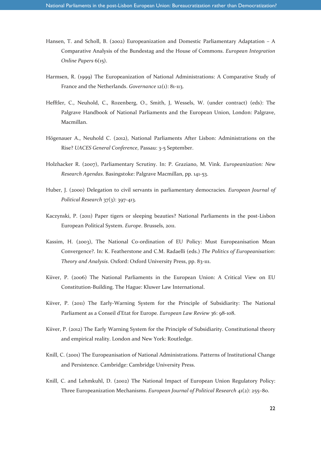- Hansen, T. and Scholl, B. (2002) Europeanization and Domestic Parliamentary Adaptation A Comparative Analysis of the Bundestag and the House of Commons. *European Integration Online Papers* 6(15).
- Harmsen, R. (1999) The Europeanization of National Administrations: A Comparative Study of France and the Netherlands. *Governance* 12(1): 81-113.
- Hefftler, C., Neuhold, C., Rozenberg, O., Smith, J, Wessels, W. (under contract) (eds): The Palgrave Handbook of National Parliaments and the European Union, London: Palgrave, Macmillan.
- Högenauer A., Neuhold C. (2012), National Parliaments After Lisbon: Administrations on the Rise? *UACES General Conference*, Passau: 3-5 September.
- Holzhacker R. (2007), Parliamentary Scrutiny. In: P. Graziano, M. Vink. *Europeanization: New Research Agendas*. Basingstoke: Palgrave Macmillan, pp. 141-53.
- Huber, J. (2000) Delegation to civil servants in parliamentary democracies*. European Journal of Political Research* 37(3): 397-413.
- Kaczynski, P. (2011) Paper tigers or sleeping beauties? National Parliaments in the post-Lisbon European Political System. *Europe*. Brussels, 2011.
- Kassim, H. (2003), The National Co-ordination of EU Policy: Must Europeanisation Mean Convergence?. In: K. Featherstone and C.M. Radaelli (eds.) *The Politics of Europeanisation*: *Theory and Analysis*. Oxford: Oxford University Press, pp. 83-111.
- Kiiver, P. (2006) The National Parliaments in the European Union: A Critical View on EU Constitution-Building. The Hague: Kluwer Law International.
- Kiiver, P. (2011) The Early-Warning System for the Principle of Subsidiarity: The National Parliament as a Conseil d'Etat for Europe*. European Law Review* 36: 98-108.
- Kiiver, P. (2012) The Early Warning System for the Principle of Subsidiarity. Constitutional theory and empirical reality. London and New York: Routledge.
- Knill, C. (2001) The Europeanisation of National Administrations. Patterns of Institutional Change and Persistence. Cambridge: Cambridge University Press.
- Knill, C. and Lehmkuhl, D. (2002) The National Impact of European Union Regulatory Policy: Three Europeanization Mechanisms. *European Journal of Political Research* 41(2): 255–80.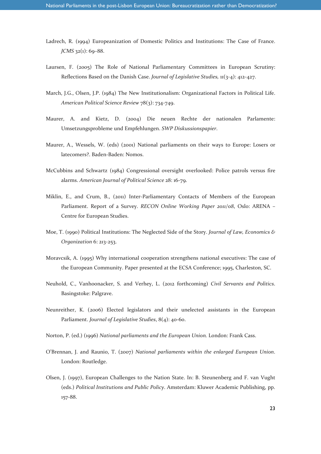- Ladrech, R. (1994) Europeanization of Domestic Politics and Institutions: The Case of France. *JCMS* 32(1): 69–88.
- Laursen, F. (2005) The Role of National Parliamentary Committees in European Scrutiny: Reflections Based on the Danish Case. *Journal of Legislative Studies,* 11(3-4): 412-427.
- March, J.G., Olsen, J.P. (1984) The New Institutionalism: Organizational Factors in Political Life. *American Political Science Review* 78(3): 734-749.
- Maurer, A. and Kietz, D. (2004) Die neuen Rechte der nationalen Parlamente: Umsetzungsprobleme und Empfehlungen. *SWP Diskussionspapier*.
- Maurer, A., Wessels, W. (eds) (2001) National parliaments on their ways to Europe: Losers or latecomers?. Baden-Baden: Nomos.
- McCubbins and Schwartz (1984) Congressional oversight overlooked: Police patrols versus fire alarms. *American Journal of Political Science* 28: 16-79.
- Miklin, E., and Crum, B., (2011) Inter-Parliamentary Contacts of Members of the European Parliament. Report of a Survey. *RECON Online Working Paper 2011/08*, Oslo: ARENA – Centre for European Studies.
- Moe, T. (1990) Political Institutions: The Neglected Side of the Story. *Journal of Law, Economics & Organization* 6: 213-253.
- Moravcsik, A. (1995) Why international cooperation strengthens national executives: The case of the European Community. Paper presented at the ECSA Conference; 1995, Charleston, SC.
- Neuhold, C., Vanhoonacker, S. and Verhey, L. (2012 forthcoming) *Civil Servants and Politics*. Basingstoke: Palgrave.
- Neunreither, K. (2006) Elected legislators and their unelected assistants in the European Parliament. *Journal of Legislative Studies*, 8(4): 40-60.
- Norton, P. (ed.) (1996) *National parliaments and the European Union.* London: Frank Cass.
- O'Brennan, J. and Raunio, T. (2007) *National parliaments within the enlarged European Union*. London: Routledge.
- Olsen, J. (1997), European Challenges to the Nation State. In: B. Steunenberg and F. van Vught (eds.) *Political Institutions and Public Policy*. Amsterdam: Kluwer Academic Publishing, pp. 157-88.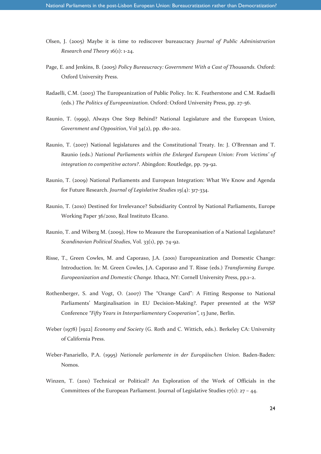- Olsen, J. (2005) Maybe it is time to rediscover bureaucracy *Journal of Public Administration Research and Theory* 16(1): 1-24.
- Page, E. and Jenkins, B. (2005) *Policy Bureaucracy: Government With a Cast of Thousands.* Oxford: Oxford University Press.
- Radaelli, C.M. (2003) The Europeanization of Public Policy. In: K. Featherstone and C.M. Radaelli (eds.) *The Politics of Europeanization*. Oxford: Oxford University Press, pp. 27-56.
- Raunio, T. (1999), Always One Step Behind? National Legislature and the European Union, *Government and Opposition*, Vol 34(2), pp. 180-202.
- Raunio, T. (2007) National legislatures and the Constitutional Treaty. In: J. O'Brennan and T. Raunio (eds.) *National Parliaments within the Enlarged European Union: From 'victims' of integration to competitive actors?*. Abingdon: Routledge, pp. 79-92.
- Raunio, T. (2009) National Parliaments and European Integration: What We Know and Agenda for Future Research. *Journal of Legislative Studies* 15(4): 317-334.
- Raunio, T. (2010) Destined for Irrelevance? Subsidiarity Control by National Parliaments, Europe Working Paper 36/2010, Real Instituto Elcano.
- Raunio, T. and Wiberg M. (2009), How to Measure the Europeanisation of a National Legislature? *Scandinavian Political Studies*, Vol. 33(1), pp. 74-92.
- Risse, T., Green Cowles, M. and Caporaso, J.A. (2001) Europeanization and Domestic Change: Introduction. In: M. Green Cowles, J.A. Caporaso and T. Risse (eds.) *Transforming Europe. Europeanization and Domestic Change.* Ithaca, NY: Cornell University Press, pp.1–2.
- Rothenberger, S. and Vogt, O. (2007) The "Orange Card": A Fitting Response to National Parliaments' Marginalisation in EU Decision-Making?. Paper presented at the WSP Conference *"Fifty Years in Interparliamentary Cooperation"*, 13 June, Berlin.
- Weber (1978) [1922] *Economy and Society* (G. Roth and C. Wittich, eds.). Berkeley CA: University of California Press.
- Weber-Panariello, P.A. (1995) *Nationale parlamente in der Europäischen Union*. Baden-Baden: Nomos.
- Winzen, T. (2011) Technical or Political? An Exploration of the Work of Officials in the Committees of the European Parliament. Journal of Legislative Studies  $17(1)$ : 27 – 44.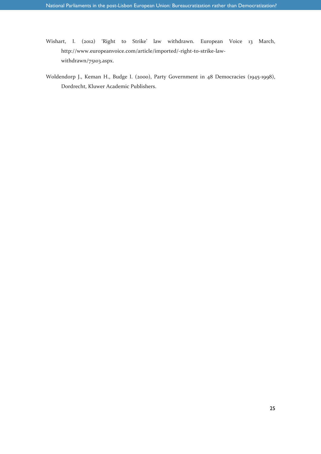- Wishart, I. (2012) 'Right to Strike' law withdrawn. European Voice 13 March, http://www.europeanvoice.com/article/imported/-right-to-strike-lawwithdrawn/75103.aspx.
- Woldendorp J., Keman H., Budge I. (2000), Party Government in 48 Democracies (1945-1998), Dordrecht, Kluwer Academic Publishers.